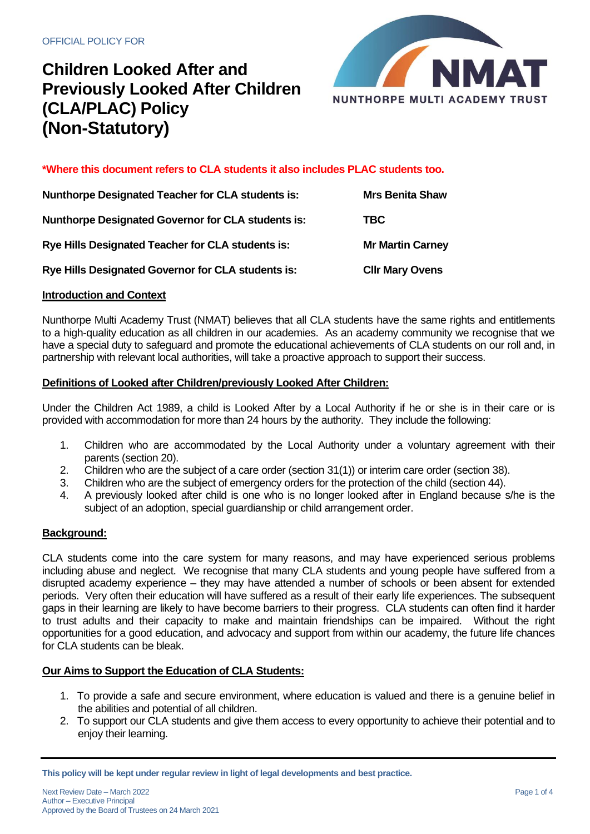

**\*Where this document refers to CLA students it also includes PLAC students too.**

| <b>Nunthorpe Designated Teacher for CLA students is:</b>  | <b>Mrs Benita Shaw</b>  |
|-----------------------------------------------------------|-------------------------|
| <b>Nunthorpe Designated Governor for CLA students is:</b> | TBC.                    |
| Rye Hills Designated Teacher for CLA students is:         | <b>Mr Martin Carney</b> |
| Rye Hills Designated Governor for CLA students is:        | <b>CIIr Mary Ovens</b>  |

#### **Introduction and Context**

Nunthorpe Multi Academy Trust (NMAT) believes that all CLA students have the same rights and entitlements to a high-quality education as all children in our academies. As an academy community we recognise that we have a special duty to safeguard and promote the educational achievements of CLA students on our roll and, in partnership with relevant local authorities, will take a proactive approach to support their success.

#### **Definitions of Looked after Children/previously Looked After Children:**

Under the Children Act 1989, a child is Looked After by a Local Authority if he or she is in their care or is provided with accommodation for more than 24 hours by the authority. They include the following:

- 1. Children who are accommodated by the Local Authority under a voluntary agreement with their parents (section 20).
- 2. Children who are the subject of a care order (section 31(1)) or interim care order (section 38).
- 3. Children who are the subject of emergency orders for the protection of the child (section 44).
- 4. A previously looked after child is one who is no longer looked after in England because s/he is the subject of an adoption, special guardianship or child arrangement order.

#### **Background:**

CLA students come into the care system for many reasons, and may have experienced serious problems including abuse and neglect. We recognise that many CLA students and young people have suffered from a disrupted academy experience – they may have attended a number of schools or been absent for extended periods. Very often their education will have suffered as a result of their early life experiences. The subsequent gaps in their learning are likely to have become barriers to their progress. CLA students can often find it harder to trust adults and their capacity to make and maintain friendships can be impaired. Without the right opportunities for a good education, and advocacy and support from within our academy, the future life chances for CLA students can be bleak.

### **Our Aims to Support the Education of CLA Students:**

- 1. To provide a safe and secure environment, where education is valued and there is a genuine belief in the abilities and potential of all children.
- 2. To support our CLA students and give them access to every opportunity to achieve their potential and to enjoy their learning.

**This policy will be kept under regular review in light of legal developments and best practice.**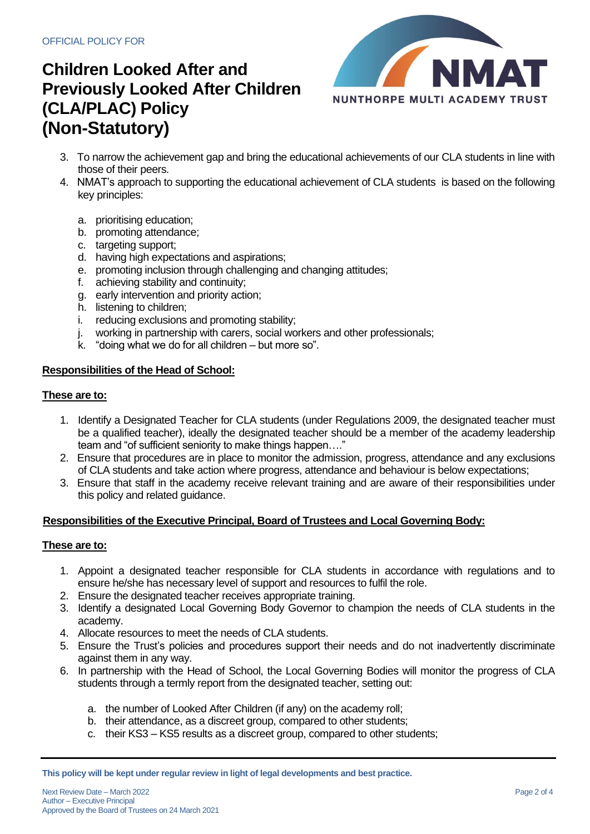

- 3. To narrow the achievement gap and bring the educational achievements of our CLA students in line with those of their peers.
- 4. NMAT's approach to supporting the educational achievement of CLA students is based on the following key principles:
	- a. prioritising education;
	- b. promoting attendance;
	- c. targeting support;
	- d. having high expectations and aspirations;
	- e. promoting inclusion through challenging and changing attitudes;
	- f. achieving stability and continuity;
	- g. early intervention and priority action;
	- h. listening to children;
	- i. reducing exclusions and promoting stability;
	- j. working in partnership with carers, social workers and other professionals;
	- k. "doing what we do for all children but more so".

### **Responsibilities of the Head of School:**

### **These are to:**

- 1. Identify a Designated Teacher for CLA students (under Regulations 2009, the designated teacher must be a qualified teacher), ideally the designated teacher should be a member of the academy leadership team and "of sufficient seniority to make things happen…."
- 2. Ensure that procedures are in place to monitor the admission, progress, attendance and any exclusions of CLA students and take action where progress, attendance and behaviour is below expectations;
- 3. Ensure that staff in the academy receive relevant training and are aware of their responsibilities under this policy and related guidance.

## **Responsibilities of the Executive Principal, Board of Trustees and Local Governing Body:**

### **These are to:**

- 1. Appoint a designated teacher responsible for CLA students in accordance with regulations and to ensure he/she has necessary level of support and resources to fulfil the role.
- 2. Ensure the designated teacher receives appropriate training.
- 3. Identify a designated Local Governing Body Governor to champion the needs of CLA students in the academy.
- 4. Allocate resources to meet the needs of CLA students.
- 5. Ensure the Trust's policies and procedures support their needs and do not inadvertently discriminate against them in any way.
- 6. In partnership with the Head of School, the Local Governing Bodies will monitor the progress of CLA students through a termly report from the designated teacher, setting out:
	- a. the number of Looked After Children (if any) on the academy roll;
	- b. their attendance, as a discreet group, compared to other students;
	- c. their KS3 KS5 results as a discreet group, compared to other students;

**This policy will be kept under regular review in light of legal developments and best practice.**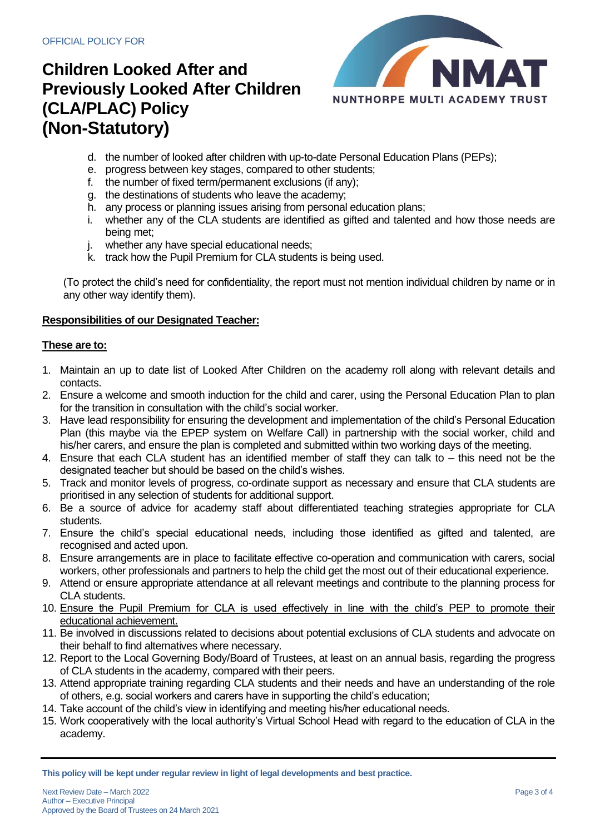

- d. the number of looked after children with up-to-date Personal Education Plans (PEPs);
- e. progress between key stages, compared to other students;
- f. the number of fixed term/permanent exclusions (if any);
- g. the destinations of students who leave the academy;
- h. any process or planning issues arising from personal education plans;
- i. whether any of the CLA students are identified as gifted and talented and how those needs are being met;
- j. whether any have special educational needs;
- k. track how the Pupil Premium for CLA students is being used.

(To protect the child's need for confidentiality, the report must not mention individual children by name or in any other way identify them).

### **Responsibilities of our Designated Teacher:**

### **These are to:**

- 1. Maintain an up to date list of Looked After Children on the academy roll along with relevant details and contacts.
- 2. Ensure a welcome and smooth induction for the child and carer, using the Personal Education Plan to plan for the transition in consultation with the child's social worker.
- 3. Have lead responsibility for ensuring the development and implementation of the child's Personal Education Plan (this maybe via the EPEP system on Welfare Call) in partnership with the social worker, child and his/her carers, and ensure the plan is completed and submitted within two working days of the meeting.
- 4. Ensure that each CLA student has an identified member of staff they can talk to this need not be the designated teacher but should be based on the child's wishes.
- 5. Track and monitor levels of progress, co-ordinate support as necessary and ensure that CLA students are prioritised in any selection of students for additional support.
- 6. Be a source of advice for academy staff about differentiated teaching strategies appropriate for CLA students.
- 7. Ensure the child's special educational needs, including those identified as gifted and talented, are recognised and acted upon.
- 8. Ensure arrangements are in place to facilitate effective co-operation and communication with carers, social workers, other professionals and partners to help the child get the most out of their educational experience.
- 9. Attend or ensure appropriate attendance at all relevant meetings and contribute to the planning process for CLA students.
- 10. Ensure the Pupil Premium for CLA is used effectively in line with the child's PEP to promote their educational achievement.
- 11. Be involved in discussions related to decisions about potential exclusions of CLA students and advocate on their behalf to find alternatives where necessary.
- 12. Report to the Local Governing Body/Board of Trustees, at least on an annual basis, regarding the progress of CLA students in the academy, compared with their peers.
- 13. Attend appropriate training regarding CLA students and their needs and have an understanding of the role of others, e.g. social workers and carers have in supporting the child's education;
- 14. Take account of the child's view in identifying and meeting his/her educational needs.
- 15. Work cooperatively with the local authority's Virtual School Head with regard to the education of CLA in the academy.

**This policy will be kept under regular review in light of legal developments and best practice.**